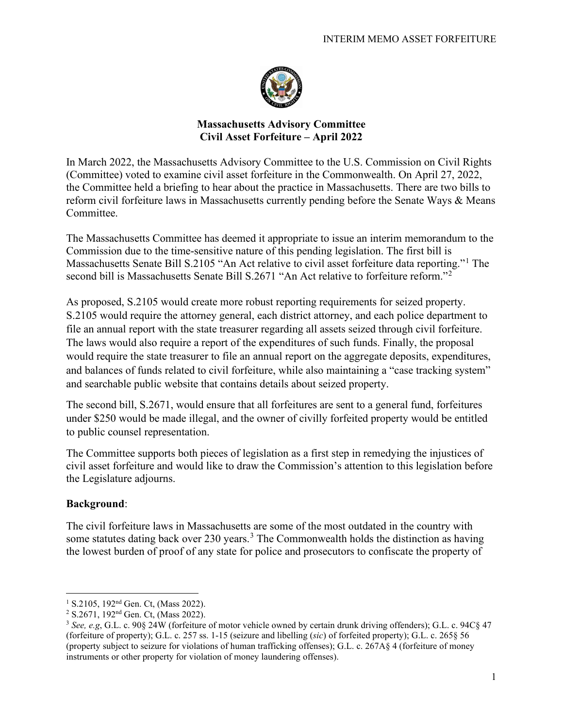

## **Massachusetts Advisory Committee Civil Asset Forfeiture – April 2022**

In March 2022, the Massachusetts Advisory Committee to the U.S. Commission on Civil Rights (Committee) voted to examine civil asset forfeiture in the Commonwealth. On April 27, 2022, the Committee held a briefing to hear about the practice in Massachusetts. There are two bills to reform civil forfeiture laws in Massachusetts currently pending before the Senate Ways & Means Committee.

The Massachusetts Committee has deemed it appropriate to issue an interim memorandum to the Commission due to the time-sensitive nature of this pending legislation. The first bill is Massachusetts Senate Bill S.2105 "An Act relative to civil asset forfeiture data reporting."[1](#page-0-0) The second bill is Massachusetts Senate Bill S.[2](#page-0-1)671 "An Act relative to forfeiture reform."<sup>2</sup>

As proposed, S.2105 would create more robust reporting requirements for seized property. S.2105 would require the attorney general, each district attorney, and each police department to file an annual report with the state treasurer regarding all assets seized through civil forfeiture. The laws would also require a report of the expenditures of such funds. Finally, the proposal would require the state treasurer to file an annual report on the aggregate deposits, expenditures, and balances of funds related to civil forfeiture, while also maintaining a "case tracking system" and searchable public website that contains details about seized property.

The second bill, S.2671, would ensure that all forfeitures are sent to a general fund, forfeitures under \$250 would be made illegal, and the owner of civilly forfeited property would be entitled to public counsel representation.

The Committee supports both pieces of legislation as a first step in remedying the injustices of civil asset forfeiture and would like to draw the Commission's attention to this legislation before the Legislature adjourns.

## **Background**:

The civil forfeiture laws in Massachusetts are some of the most outdated in the country with some statutes dating back over 2[3](#page-0-2)0 years.<sup>3</sup> The Commonwealth holds the distinction as having the lowest burden of proof of any state for police and prosecutors to confiscate the property of

<span id="page-0-0"></span><sup>&</sup>lt;sup>1</sup> S.2105, 192<sup>nd</sup> Gen. Ct, (Mass 2022).

<span id="page-0-1"></span> $2$  S.2671, 192<sup>nd</sup> Gen. Ct, (Mass 2022).

<span id="page-0-2"></span><sup>3</sup> *See, e.g*, G.L. c. 90§ 24W (forfeiture of motor vehicle owned by certain drunk driving offenders); G.L. c. 94C§ 47 (forfeiture of property); G.L. c. 257 ss. 1-15 (seizure and libelling (*sic*) of forfeited property); G.L. c. 265§ 56 (property subject to seizure for violations of human trafficking offenses); G.L. c. 267A§ 4 (forfeiture of money instruments or other property for violation of money laundering offenses).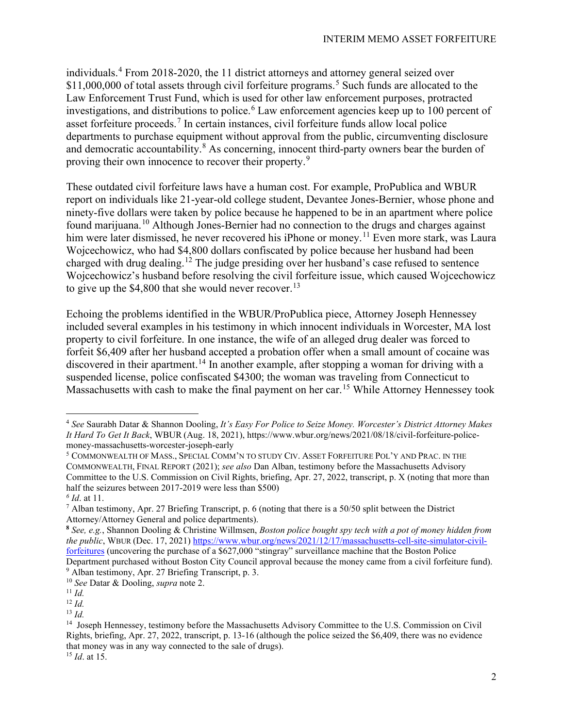individuals.[4](#page-1-0) From 2018-2020, the 11 district attorneys and attorney general seized over \$11,000,000 of total assets through civil forfeiture programs.<sup>[5](#page-1-1)</sup> Such funds are allocated to the Law Enforcement Trust Fund, which is used for other law enforcement purposes, protracted investigations, and distributions to police.<sup>[6](#page-1-2)</sup> Law enforcement agencies keep up to 100 percent of asset forfeiture proceeds.<sup>[7](#page-1-3)</sup> In certain instances, civil forfeiture funds allow local police departments to purchase equipment without approval from the public, circumventing disclosure and democratic accountability.<sup>[8](#page-1-4)</sup> As concerning, innocent third-party owners bear the burden of proving their own innocence to recover their property.<sup>[9](#page-1-5)</sup>

These outdated civil forfeiture laws have a human cost. For example, ProPublica and WBUR report on individuals like 21-year-old college student, Devantee Jones-Bernier, whose phone and ninety-five dollars were taken by police because he happened to be in an apartment where police found marijuana.[10](#page-1-6) Although Jones-Bernier had no connection to the drugs and charges against him were later dismissed, he never recovered his iPhone or money.<sup>[11](#page-1-7)</sup> Even more stark, was Laura Wojcechowicz, who had \$4,800 dollars confiscated by police because her husband had been charged with drug dealing.<sup>[12](#page-1-8)</sup> The judge presiding over her husband's case refused to sentence Wojcechowicz's husband before resolving the civil forfeiture issue, which caused Wojcechowicz to give up the  $$4,800$  that she would never recover.<sup>[13](#page-1-9)</sup>

Echoing the problems identified in the WBUR/ProPublica piece, Attorney Joseph Hennessey included several examples in his testimony in which innocent individuals in Worcester, MA lost property to civil forfeiture. In one instance, the wife of an alleged drug dealer was forced to forfeit \$6,409 after her husband accepted a probation offer when a small amount of cocaine was discovered in their apartment.<sup>14</sup> In another example, after stopping a woman for driving with a suspended license, police confiscated \$4300; the woman was traveling from Connecticut to Massachusetts with cash to make the final payment on her car.<sup>15</sup> While Attorney Hennessey took

<span id="page-1-0"></span><sup>4</sup> *See* Saurabh Datar & Shannon Dooling, *It's Easy For Police to Seize Money. Worcester's District Attorney Makes It Hard To Get It Back*, WBUR (Aug. 18, 2021), https://www.wbur.org/news/2021/08/18/civil-forfeiture-policemoney-massachusetts-worcester-joseph-early

<span id="page-1-1"></span><sup>5</sup> COMMONWEALTH OF MASS., SPECIAL COMM'N TO STUDY CIV. ASSET FORFEITURE POL'Y AND PRAC. IN THE COMMONWEALTH, FINAL REPORT (2021); *see also* Dan Alban, testimony before the Massachusetts Advisory Committee to the U.S. Commission on Civil Rights, briefing, Apr. 27, 2022, transcript, p. X (noting that more than half the seizures between 2017-2019 were less than \$500)

<span id="page-1-2"></span>*<sup>6</sup> Id*. at 11.

<span id="page-1-3"></span><sup>7</sup> Alban testimony, Apr. 27 Briefing Transcript, p. 6 (noting that there is a 50/50 split between the District Attorney/Attorney General and police departments).

<span id="page-1-4"></span>**<sup>8</sup>** *See, e.g.*, Shannon Dooling & Christine Willmsen, *Boston police bought spy tech with a pot of money hidden from the public*, WBUR (Dec. 17, 2021) [https://www.wbur.org/news/2021/12/17/massachusetts-cell-site-simulator-civil](https://www.wbur.org/news/2021/12/17/massachusetts-cell-site-simulator-civil-forfeitures)[forfeitures](https://www.wbur.org/news/2021/12/17/massachusetts-cell-site-simulator-civil-forfeitures) (uncovering the purchase of a \$627,000 "stingray" surveillance machine that the Boston Police Department purchased without Boston City Council approval because the money came from a civil forfeiture fund). <sup>9</sup> Alban testimony, Apr. 27 Briefing Transcript, p. 3.

<span id="page-1-6"></span><span id="page-1-5"></span><sup>10</sup> *See* Datar & Dooling, *supra* note 2.

<span id="page-1-7"></span><sup>11</sup> *Id.*

<span id="page-1-8"></span><sup>12</sup> *Id.*

<span id="page-1-9"></span><sup>13</sup> *Id.*

<span id="page-1-10"></span><sup>&</sup>lt;sup>14</sup> Joseph Hennessey, testimony before the Massachusetts Advisory Committee to the U.S. Commission on Civil Rights, briefing, Apr. 27, 2022, transcript, p. 13-16 (although the police seized the \$6,409, there was no evidence that money was in any way connected to the sale of drugs). 15 *Id*. at 15.

<span id="page-1-11"></span>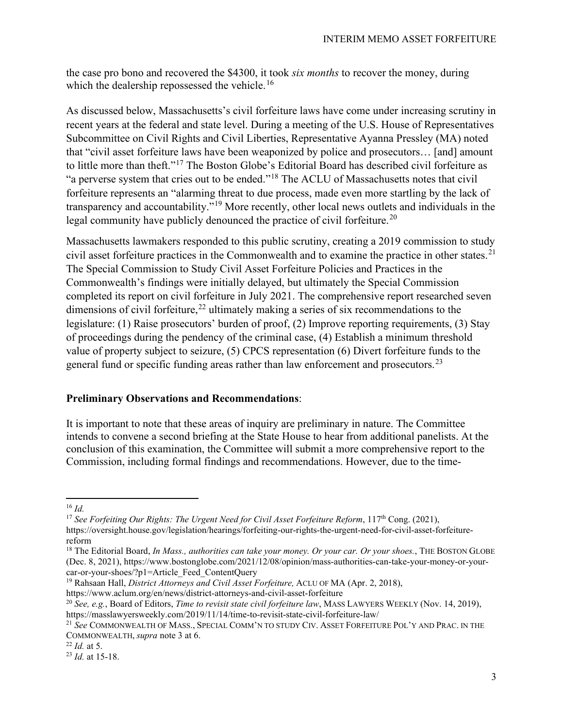the case pro bono and recovered the \$4300, it took *six months* to recover the money, during which the dealership repossessed the vehicle.<sup>[16](#page-2-0)</sup>

As discussed below, Massachusetts's civil forfeiture laws have come under increasing scrutiny in recent years at the federal and state level. During a meeting of the U.S. House of Representatives Subcommittee on Civil Rights and Civil Liberties, Representative Ayanna Pressley (MA) noted that "civil asset forfeiture laws have been weaponized by police and prosecutors… [and] amount to little more than theft."[17](#page-2-1) The Boston Globe's Editorial Board has described civil forfeiture as "a perverse system that cries out to be ended."[18](#page-2-2) The ACLU of Massachusetts notes that civil forfeiture represents an "alarming threat to due process, made even more startling by the lack of transparency and accountability."[19](#page-2-3) More recently, other local news outlets and individuals in the legal community have publicly denounced the practice of civil forfeiture.<sup>[20](#page-2-4)</sup>

Massachusetts lawmakers responded to this public scrutiny, creating a 2019 commission to study civil asset forfeiture practices in the Commonwealth and to examine the practice in other states.<sup>[21](#page-2-5)</sup> The Special Commission to Study Civil Asset Forfeiture Policies and Practices in the Commonwealth's findings were initially delayed, but ultimately the Special Commission completed its report on civil forfeiture in July 2021. The comprehensive report researched seven dimensions of civil forfeiture,  $22$  ultimately making a series of six recommendations to the legislature: (1) Raise prosecutors' burden of proof, (2) Improve reporting requirements, (3) Stay of proceedings during the pendency of the criminal case, (4) Establish a minimum threshold value of property subject to seizure, (5) CPCS representation (6) Divert forfeiture funds to the general fund or specific funding areas rather than law enforcement and prosecutors.<sup>[23](#page-2-7)</sup>

## **Preliminary Observations and Recommendations**:

It is important to note that these areas of inquiry are preliminary in nature. The Committee intends to convene a second briefing at the State House to hear from additional panelists. At the conclusion of this examination, the Committee will submit a more comprehensive report to the Commission, including formal findings and recommendations. However, due to the time-

<span id="page-2-1"></span><sup>17</sup> See Forfeiting Our Rights: The Urgent Need for Civil Asset Forfeiture Reform, 117<sup>th</sup> Cong. (2021),

<span id="page-2-0"></span> $16$  *Id.* 

https://oversight.house.gov/legislation/hearings/forfeiting-our-rights-the-urgent-need-for-civil-asset-forfeiturereform

<span id="page-2-2"></span><sup>&</sup>lt;sup>18</sup> The Editorial Board, *In Mass., authorities can take your money. Or your car. Or your shoes.*, THE BOSTON GLOBE (Dec. 8, 2021), https://www.bostonglobe.com/2021/12/08/opinion/mass-authorities-can-take-your-money-or-yourcar-or-your-shoes/?p1=Article\_Feed\_ContentQuery

<span id="page-2-3"></span><sup>19</sup> Rahsaan Hall, *District Attorneys and Civil Asset Forfeiture,* ACLU OF MA (Apr. 2, 2018),

https://www.aclum.org/en/news/district-attorneys-and-civil-asset-forfeiture

<span id="page-2-4"></span><sup>20</sup> *See, e.g.*, Board of Editors, *Time to revisit state civil forfeiture law*, MASS LAWYERS WEEKLY (Nov. 14, 2019), https://masslawyersweekly.com/2019/11/14/time-to-revisit-state-civil-forfeiture-law/ 21 *See* COMMONWEALTH OF MASS., SPECIAL COMM'N TO STUDY CIV. ASSET FORFEITURE POL'Y AND PRAC. IN THE

<span id="page-2-5"></span>COMMONWEALTH, *supra* note 3 at 6.

<span id="page-2-6"></span><sup>22</sup> *Id.* at 5.

<span id="page-2-7"></span><sup>23</sup> *Id.* at 15-18.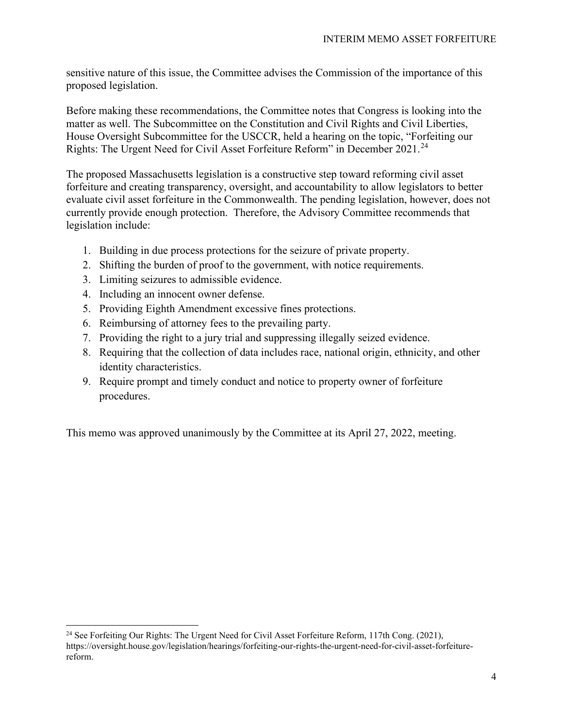sensitive nature of this issue, the Committee advises the Commission of the importance of this proposed legislation.

Before making these recommendations, the Committee notes that Congress is looking into the matter as well. The Subcommittee on the Constitution and Civil Rights and Civil Liberties, House Oversight Subcommittee for the USCCR, held a hearing on the topic, "Forfeiting our Rights: The Urgent Need for Civil Asset Forfeiture Reform" in December 2021.<sup>[24](#page-3-0)</sup>

The proposed Massachusetts legislation is a constructive step toward reforming civil asset forfeiture and creating transparency, oversight, and accountability to allow legislators to better evaluate civil asset forfeiture in the Commonwealth. The pending legislation, however, does not currently provide enough protection. Therefore, the Advisory Committee recommends that legislation include:

- 1. Building in due process protections for the seizure of private property.
- 2. Shifting the burden of proof to the government, with notice requirements.
- 3. Limiting seizures to admissible evidence.
- 4. Including an innocent owner defense.
- 5. Providing Eighth Amendment excessive fines protections.
- 6. Reimbursing of attorney fees to the prevailing party.
- 7. Providing the right to a jury trial and suppressing illegally seized evidence.
- 8. Requiring that the collection of data includes race, national origin, ethnicity, and other identity characteristics.
- 9. Require prompt and timely conduct and notice to property owner of forfeiture procedures.

This memo was approved unanimously by the Committee at its April 27, 2022, meeting.

<span id="page-3-0"></span><sup>&</sup>lt;sup>24</sup> See Forfeiting Our Rights: The Urgent Need for Civil Asset Forfeiture Reform, 117th Cong. (2021), https://oversight.house.gov/legislation/hearings/forfeiting-our-rights-the-urgent-need-for-civil-asset-forfeiturereform.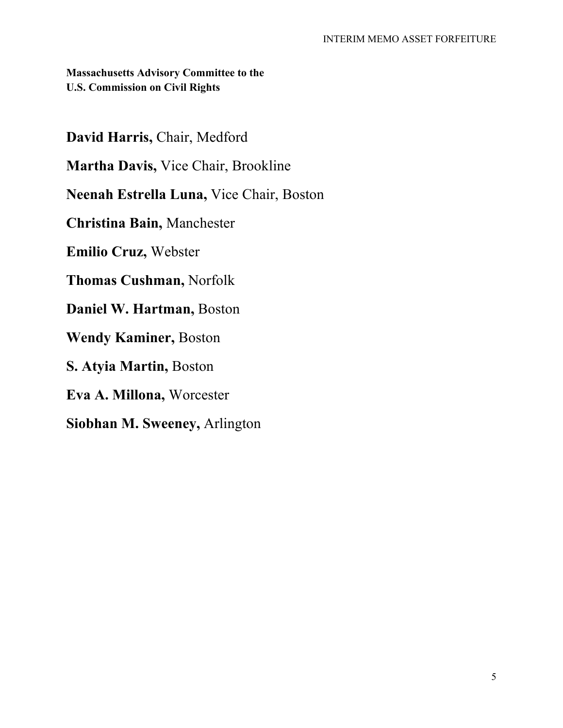**Massachusetts Advisory Committee to the U.S. Commission on Civil Rights**

**David Harris,** Chair, Medford

**Martha Davis,** Vice Chair, Brookline

**Neenah Estrella Luna,** Vice Chair, Boston

**Christina Bain,** Manchester

**Emilio Cruz,** Webster

**Thomas Cushman,** Norfolk

**Daniel W. Hartman,** Boston

**Wendy Kaminer,** Boston

**S. Atyia Martin,** Boston

**Eva A. Millona,** Worcester

**Siobhan M. Sweeney,** Arlington